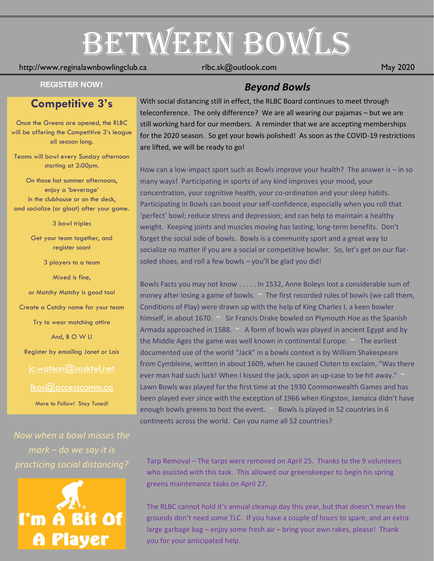# BETWEEN BOWLS

#### http://www.reginalawnbowlingclub.ca rlbc.sk@outlook.com May 2020

# **Competitive 3's**

Once the Greens are opened, the RLBC will be offering the Competitive 3's league all season long.

Teams will bowl every Sunday afternoon starting at 2:00pm.

On those hot summer afternoons, enjoy a 'beverage' in the clubhouse or on the deck, and socialize (or gloat) after your game.

3 bowl triples

Get your team together, and register soon!

3 players to a team

Mixed is fine,

or Matchy Matchy is good too!

Create a Catchy name for your team

Try to wear matching attire

And, B O W L!

Register by emailing Janet or Lois

#### [jc.watson@sasktel.net](mailto:jc.watson@sasktel.net)

[lkos@accesscomm.ca](mailto:lkos@accesscomm.ca)

More to Follow! Stay Tuned!

*Now when a bowl misses the mark – do we say it is practicing social distancing?*



# **REGISTER NOW!** *Beyond Bowls*

With social distancing still in effect, the RLBC Board continues to meet through teleconference. The only difference? We are all wearing our pajamas – but we are still working hard for our members. A reminder that we are accepting memberships for the 2020 season. So get your bowls polished! As soon as the COVID-19 restrictions are lifted, we will be ready to go!

How can a low-impact sport such as Bowls improve your health? The answer is – in so many ways! Participating in sports of any kind improves your mood, your concentration, your cognitive health, your co-ordination and your sleep habits. Participating in Bowls can boost your self-confidence, especially when you roll that 'perfect' bowl; reduce stress and depression; and can help to maintain a healthy weight. Keeping joints and muscles moving has lasting, long-term benefits. Don't forget the social side of bowls. Bowls is a community sport and a great way to socialize no matter if you are a social or competitive bowler. So, let's get on our flatsoled shoes, and roll a few bowls – you'll be glad you did!

Bowls Facts you may not know . . . . . In 1532, Anne Boleyn lost a considerable sum of money after losing a game of bowls. ~ The first recorded rules of bowls (we call them, Conditions of Play) were drawn up with the help of King Charles I, a keen bowler himself, in about 1670. ~ Sir Francis Drake bowled on Plymouth Hoe as the Spanish Armada approached in 1588. ~ A form of bowls was played in ancient Egypt and by the Middle Ages the game was well known in continental Europe.  $\sim$  The earliest documented use of the world "Jack" in a bowls context is by William Shakespeare from Cymbleine, written in about 1609, when he caused Cloten to exclaim, "Was there ever man had such luck! When I kissed the jack, upon an up-case to be hit away."  $\sim$ Lawn Bowls was played for the first time at the 1930 Commonwealth Games and has been played ever since with the exception of 1966 when Kingston, Jamaica didn't have enough bowls greens to host the event. ~ Bowls is played in 52 countries in 6 continents across the world. Can you name all 52 countries?

Tarp Removal – The tarps were removed on April 25. Thanks to the 9 volunteers who assisted with this task. This allowed our greenskeeper to begin his spring greens maintenance tasks on April 27.

The RLBC cannot hold it's annual cleanup day this year, but that doesn't mean the grounds don't need some TLC. If you have a couple of hours to spare, and an extra large garbage bag – enjoy some fresh air – bring your own rakes, please! Thank you for your anticipated help.